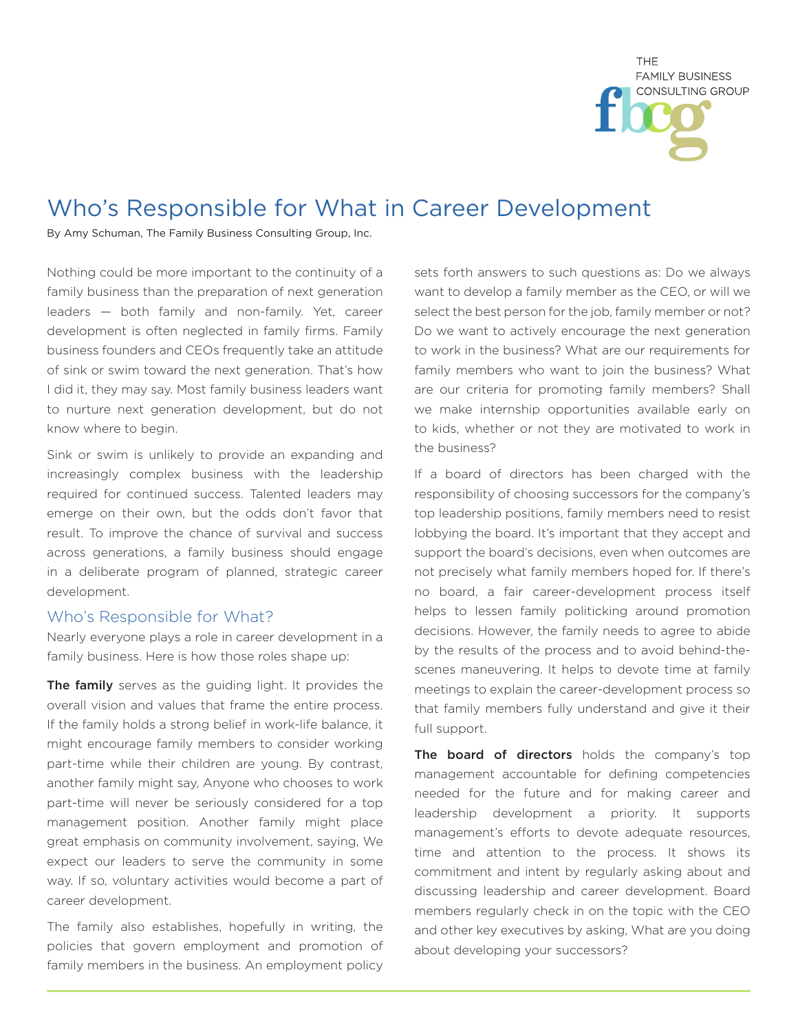

## Who's Responsible for What in Career Development

By Amy Schuman, The Family Business Consulting Group, Inc.

Nothing could be more important to the continuity of a family business than the preparation of next generation leaders — both family and non-family. Yet, career development is often neglected in family firms. Family business founders and CEOs frequently take an attitude of sink or swim toward the next generation. That's how I did it, they may say. Most family business leaders want to nurture next generation development, but do not know where to begin.

Sink or swim is unlikely to provide an expanding and increasingly complex business with the leadership required for continued success. Talented leaders may emerge on their own, but the odds don't favor that result. To improve the chance of survival and success across generations, a family business should engage in a deliberate program of planned, strategic career development.

## Who's Responsible for What?

Nearly everyone plays a role in career development in a family business. Here is how those roles shape up:

The family serves as the guiding light. It provides the overall vision and values that frame the entire process. If the family holds a strong belief in work-life balance, it might encourage family members to consider working part-time while their children are young. By contrast, another family might say, Anyone who chooses to work part-time will never be seriously considered for a top management position. Another family might place great emphasis on community involvement, saying, We expect our leaders to serve the community in some way. If so, voluntary activities would become a part of career development.

The family also establishes, hopefully in writing, the policies that govern employment and promotion of family members in the business. An employment policy

sets forth answers to such questions as: Do we always want to develop a family member as the CEO, or will we select the best person for the job, family member or not? Do we want to actively encourage the next generation to work in the business? What are our requirements for family members who want to join the business? What are our criteria for promoting family members? Shall we make internship opportunities available early on to kids, whether or not they are motivated to work in the business?

If a board of directors has been charged with the responsibility of choosing successors for the company's top leadership positions, family members need to resist lobbying the board. It's important that they accept and support the board's decisions, even when outcomes are not precisely what family members hoped for. If there's no board, a fair career-development process itself helps to lessen family politicking around promotion decisions. However, the family needs to agree to abide by the results of the process and to avoid behind-thescenes maneuvering. It helps to devote time at family meetings to explain the career-development process so that family members fully understand and give it their full support.

The board of directors holds the company's top management accountable for defining competencies needed for the future and for making career and leadership development a priority. It supports management's efforts to devote adequate resources, time and attention to the process. It shows its commitment and intent by regularly asking about and discussing leadership and career development. Board members regularly check in on the topic with the CEO and other key executives by asking, What are you doing about developing your successors?